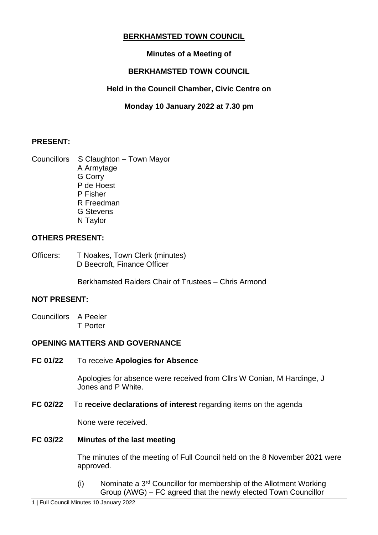# **BERKHAMSTED TOWN COUNCIL**

# **Minutes of a Meeting of**

# **BERKHAMSTED TOWN COUNCIL**

# **Held in the Council Chamber, Civic Centre on**

# **Monday 10 January 2022 at 7.30 pm**

## **PRESENT:**

Councillors S Claughton – Town Mayor A Armytage G Corry P de Hoest P Fisher R Freedman G Stevens N Taylor

## **OTHERS PRESENT:**

Officers: T Noakes, Town Clerk (minutes) D Beecroft, Finance Officer

Berkhamsted Raiders Chair of Trustees – Chris Armond

## **NOT PRESENT:**

Councillors A Peeler T Porter

## **OPENING MATTERS AND GOVERNANCE**

**FC 01/22** To receive **Apologies for Absence**

Apologies for absence were received from Cllrs W Conian, M Hardinge, J Jones and P White.

**FC 02/22** To **receive declarations of interest** regarding items on the agenda

None were received.

### **FC 03/22 Minutes of the last meeting**

The minutes of the meeting of Full Council held on the 8 November 2021 were approved.

(i) Nominate a  $3<sup>rd</sup>$  Councillor for membership of the Allotment Working Group (AWG) – FC agreed that the newly elected Town Councillor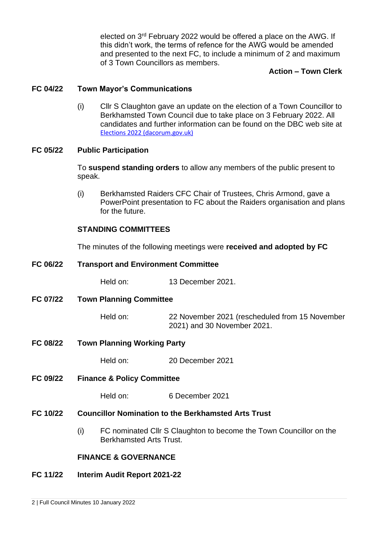elected on 3<sup>rd</sup> February 2022 would be offered a place on the AWG. If this didn't work, the terms of refence for the AWG would be amended and presented to the next FC, to include a minimum of 2 and maximum of 3 Town Councillors as members.

## **Action – Town Clerk**

#### **FC 04/22 Town Mayor's Communications**

(i) Cllr S Claughton gave an update on the election of a Town Councillor to Berkhamsted Town Council due to take place on 3 February 2022. All candidates and further information can be found on the DBC web site at [Elections 2022 \(dacorum.gov.uk\)](https://www.dacorum.gov.uk/home/council-democracy/elections-and-voting/elections-2022)

#### **FC 05/22 Public Participation**

To **suspend standing orders** to allow any members of the public present to speak.

(i) Berkhamsted Raiders CFC Chair of Trustees, Chris Armond, gave a PowerPoint presentation to FC about the Raiders organisation and plans for the future.

### **STANDING COMMITTEES**

The minutes of the following meetings were **received and adopted by FC**

| FC 06/22        | <b>Transport and Environment Committee</b>                 |                                                                               |  |
|-----------------|------------------------------------------------------------|-------------------------------------------------------------------------------|--|
|                 | Held on:                                                   | 13 December 2021.                                                             |  |
| FC 07/22        | <b>Town Planning Committee</b>                             |                                                                               |  |
|                 | Held on:                                                   | 22 November 2021 (rescheduled from 15 November<br>2021) and 30 November 2021. |  |
| <b>FC 08/22</b> | <b>Town Planning Working Party</b>                         |                                                                               |  |
|                 | Held on:                                                   | 20 December 2021                                                              |  |
| FC 09/22        | <b>Finance &amp; Policy Committee</b>                      |                                                                               |  |
|                 | Held on:                                                   | 6 December 2021                                                               |  |
| FC 10/22        | <b>Councillor Nomination to the Berkhamsted Arts Trust</b> |                                                                               |  |

(i) FC nominated Cllr S Claughton to become the Town Councillor on the Berkhamsted Arts Trust.

### **FINANCE & GOVERNANCE**

#### **FC 11/22 Interim Audit Report 2021-22**